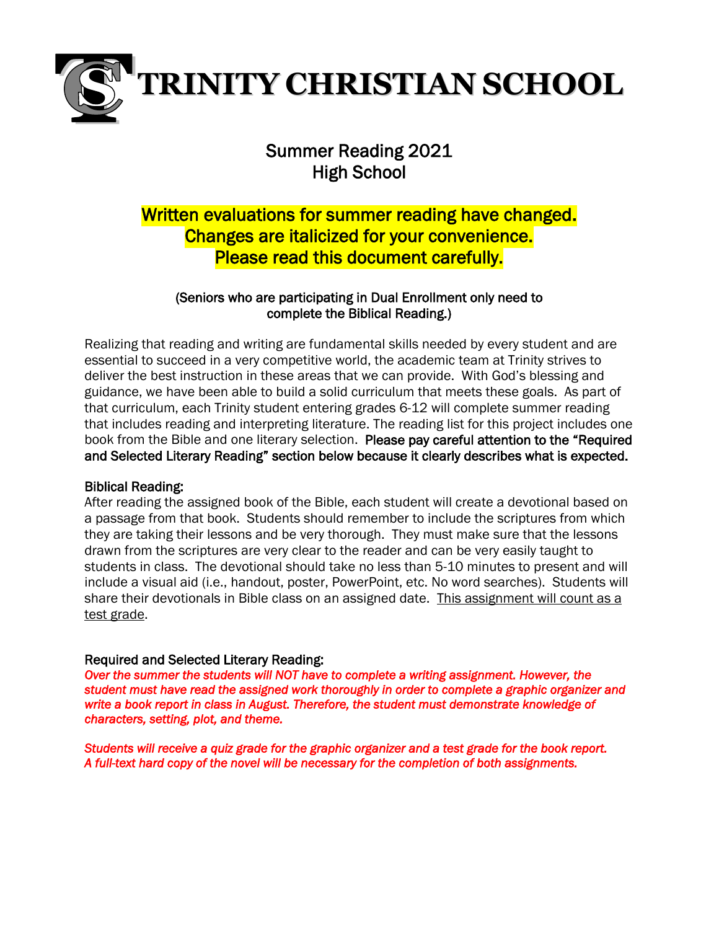

# Summer Reading 2021 High School

# Written evaluations for summer reading have changed. Changes are italicized for your convenience. Please read this document carefully.

# (Seniors who are participating in Dual Enrollment only need to complete the Biblical Reading.)

Realizing that reading and writing are fundamental skills needed by every student and are essential to succeed in a very competitive world, the academic team at Trinity strives to deliver the best instruction in these areas that we can provide. With God's blessing and guidance, we have been able to build a solid curriculum that meets these goals. As part of that curriculum, each Trinity student entering grades 6-12 will complete summer reading that includes reading and interpreting literature. The reading list for this project includes one book from the Bible and one literary selection. Please pay careful attention to the "Required and Selected Literary Reading" section below because it clearly describes what is expected.

## Biblical Reading:

After reading the assigned book of the Bible, each student will create a devotional based on a passage from that book. Students should remember to include the scriptures from which they are taking their lessons and be very thorough. They must make sure that the lessons drawn from the scriptures are very clear to the reader and can be very easily taught to students in class. The devotional should take no less than 5-10 minutes to present and will include a visual aid (i.e., handout, poster, PowerPoint, etc. No word searches). Students will share their devotionals in Bible class on an assigned date. This assignment will count as a test grade.

# Required and Selected Literary Reading:

*Over the summer the students will NOT have to complete a writing assignment. However, the student must have read the assigned work thoroughly in order to complete a graphic organizer and write a book report in class in August. Therefore, the student must demonstrate knowledge of characters, setting, plot, and theme.* 

*Students will receive a quiz grade for the graphic organizer and a test grade for the book report. A full-text hard copy of the novel will be necessary for the completion of both assignments.*